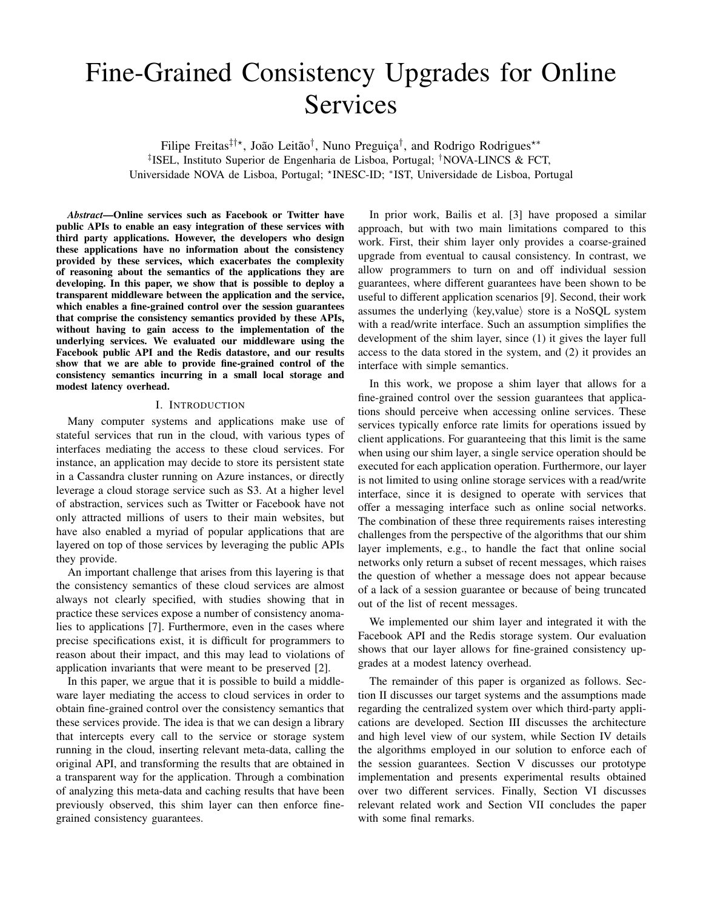# Fine-Grained Consistency Upgrades for Online Services

Filipe Freitas<sup>‡†\*</sup>, João Leitão<sup>†</sup>, Nuno Preguiça<sup>†</sup>, and Rodrigo Rodrigues<sup>\*\*</sup> ‡ ISEL, Instituto Superior de Engenharia de Lisboa, Portugal; †NOVA-LINCS & FCT, Universidade NOVA de Lisboa, Portugal; \*INESC-ID; \*IST, Universidade de Lisboa, Portugal

*Abstract*—Online services such as Facebook or Twitter have public APIs to enable an easy integration of these services with third party applications. However, the developers who design these applications have no information about the consistency provided by these services, which exacerbates the complexity of reasoning about the semantics of the applications they are developing. In this paper, we show that is possible to deploy a transparent middleware between the application and the service, which enables a fine-grained control over the session guarantees that comprise the consistency semantics provided by these APIs, without having to gain access to the implementation of the underlying services. We evaluated our middleware using the Facebook public API and the Redis datastore, and our results show that we are able to provide fine-grained control of the consistency semantics incurring in a small local storage and modest latency overhead.

#### I. INTRODUCTION

Many computer systems and applications make use of stateful services that run in the cloud, with various types of interfaces mediating the access to these cloud services. For instance, an application may decide to store its persistent state in a Cassandra cluster running on Azure instances, or directly leverage a cloud storage service such as S3. At a higher level of abstraction, services such as Twitter or Facebook have not only attracted millions of users to their main websites, but have also enabled a myriad of popular applications that are layered on top of those services by leveraging the public APIs they provide.

An important challenge that arises from this layering is that the consistency semantics of these cloud services are almost always not clearly specified, with studies showing that in practice these services expose a number of consistency anomalies to applications [7]. Furthermore, even in the cases where precise specifications exist, it is difficult for programmers to reason about their impact, and this may lead to violations of application invariants that were meant to be preserved [2].

In this paper, we argue that it is possible to build a middleware layer mediating the access to cloud services in order to obtain fine-grained control over the consistency semantics that these services provide. The idea is that we can design a library that intercepts every call to the service or storage system running in the cloud, inserting relevant meta-data, calling the original API, and transforming the results that are obtained in a transparent way for the application. Through a combination of analyzing this meta-data and caching results that have been previously observed, this shim layer can then enforce finegrained consistency guarantees.

In prior work, Bailis et al. [3] have proposed a similar approach, but with two main limitations compared to this work. First, their shim layer only provides a coarse-grained upgrade from eventual to causal consistency. In contrast, we allow programmers to turn on and off individual session guarantees, where different guarantees have been shown to be useful to different application scenarios [9]. Second, their work assumes the underlying  $\langle \text{key}, \text{value} \rangle$  store is a NoSQL system with a read/write interface. Such an assumption simplifies the development of the shim layer, since (1) it gives the layer full access to the data stored in the system, and (2) it provides an interface with simple semantics.

In this work, we propose a shim layer that allows for a fine-grained control over the session guarantees that applications should perceive when accessing online services. These services typically enforce rate limits for operations issued by client applications. For guaranteeing that this limit is the same when using our shim layer, a single service operation should be executed for each application operation. Furthermore, our layer is not limited to using online storage services with a read/write interface, since it is designed to operate with services that offer a messaging interface such as online social networks. The combination of these three requirements raises interesting challenges from the perspective of the algorithms that our shim layer implements, e.g., to handle the fact that online social networks only return a subset of recent messages, which raises the question of whether a message does not appear because of a lack of a session guarantee or because of being truncated out of the list of recent messages.

We implemented our shim layer and integrated it with the Facebook API and the Redis storage system. Our evaluation shows that our layer allows for fine-grained consistency upgrades at a modest latency overhead.

The remainder of this paper is organized as follows. Section II discusses our target systems and the assumptions made regarding the centralized system over which third-party applications are developed. Section III discusses the architecture and high level view of our system, while Section IV details the algorithms employed in our solution to enforce each of the session guarantees. Section V discusses our prototype implementation and presents experimental results obtained over two different services. Finally, Section VI discusses relevant related work and Section VII concludes the paper with some final remarks.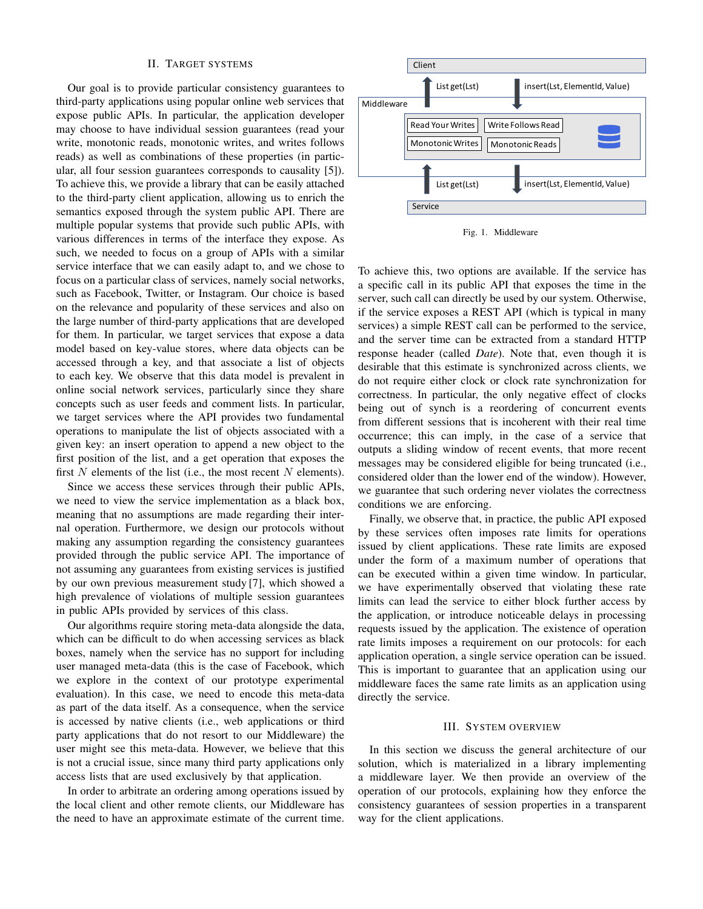## II. TARGET SYSTEMS

Our goal is to provide particular consistency guarantees to third-party applications using popular online web services that expose public APIs. In particular, the application developer may choose to have individual session guarantees (read your write, monotonic reads, monotonic writes, and writes follows reads) as well as combinations of these properties (in particular, all four session guarantees corresponds to causality [5]). To achieve this, we provide a library that can be easily attached to the third-party client application, allowing us to enrich the semantics exposed through the system public API. There are multiple popular systems that provide such public APIs, with various differences in terms of the interface they expose. As such, we needed to focus on a group of APIs with a similar service interface that we can easily adapt to, and we chose to focus on a particular class of services, namely social networks, such as Facebook, Twitter, or Instagram. Our choice is based on the relevance and popularity of these services and also on the large number of third-party applications that are developed for them. In particular, we target services that expose a data model based on key-value stores, where data objects can be accessed through a key, and that associate a list of objects to each key. We observe that this data model is prevalent in online social network services, particularly since they share concepts such as user feeds and comment lists. In particular, we target services where the API provides two fundamental operations to manipulate the list of objects associated with a given key: an insert operation to append a new object to the first position of the list, and a get operation that exposes the first  $N$  elements of the list (i.e., the most recent  $N$  elements).

Since we access these services through their public APIs, we need to view the service implementation as a black box, meaning that no assumptions are made regarding their internal operation. Furthermore, we design our protocols without making any assumption regarding the consistency guarantees provided through the public service API. The importance of not assuming any guarantees from existing services is justified by our own previous measurement study [7], which showed a high prevalence of violations of multiple session guarantees in public APIs provided by services of this class.

Our algorithms require storing meta-data alongside the data, which can be difficult to do when accessing services as black boxes, namely when the service has no support for including user managed meta-data (this is the case of Facebook, which we explore in the context of our prototype experimental evaluation). In this case, we need to encode this meta-data as part of the data itself. As a consequence, when the service is accessed by native clients (i.e., web applications or third party applications that do not resort to our Middleware) the user might see this meta-data. However, we believe that this is not a crucial issue, since many third party applications only access lists that are used exclusively by that application.

In order to arbitrate an ordering among operations issued by the local client and other remote clients, our Middleware has the need to have an approximate estimate of the current time.



Fig. 1. Middleware

To achieve this, two options are available. If the service has a specific call in its public API that exposes the time in the server, such call can directly be used by our system. Otherwise, if the service exposes a REST API (which is typical in many services) a simple REST call can be performed to the service, and the server time can be extracted from a standard HTTP response header (called *Date*). Note that, even though it is desirable that this estimate is synchronized across clients, we do not require either clock or clock rate synchronization for correctness. In particular, the only negative effect of clocks being out of synch is a reordering of concurrent events from different sessions that is incoherent with their real time occurrence; this can imply, in the case of a service that outputs a sliding window of recent events, that more recent messages may be considered eligible for being truncated (i.e., considered older than the lower end of the window). However, we guarantee that such ordering never violates the correctness conditions we are enforcing.

Finally, we observe that, in practice, the public API exposed by these services often imposes rate limits for operations issued by client applications. These rate limits are exposed under the form of a maximum number of operations that can be executed within a given time window. In particular, we have experimentally observed that violating these rate limits can lead the service to either block further access by the application, or introduce noticeable delays in processing requests issued by the application. The existence of operation rate limits imposes a requirement on our protocols: for each application operation, a single service operation can be issued. This is important to guarantee that an application using our middleware faces the same rate limits as an application using directly the service.

### III. SYSTEM OVERVIEW

In this section we discuss the general architecture of our solution, which is materialized in a library implementing a middleware layer. We then provide an overview of the operation of our protocols, explaining how they enforce the consistency guarantees of session properties in a transparent way for the client applications.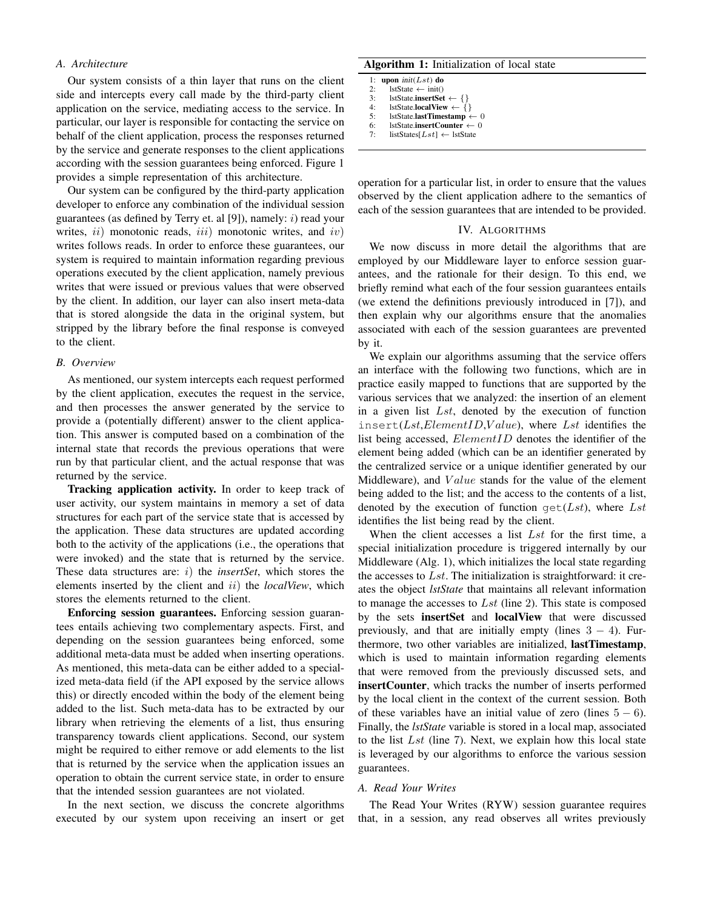# *A. Architecture*

Our system consists of a thin layer that runs on the client side and intercepts every call made by the third-party client application on the service, mediating access to the service. In particular, our layer is responsible for contacting the service on behalf of the client application, process the responses returned by the service and generate responses to the client applications according with the session guarantees being enforced. Figure 1 provides a simple representation of this architecture.

Our system can be configured by the third-party application developer to enforce any combination of the individual session guarantees (as defined by Terry et. al [9]), namely:  $i$ ) read your writes,  $ii)$  monotonic reads,  $iii)$  monotonic writes, and  $iv)$ writes follows reads. In order to enforce these guarantees, our system is required to maintain information regarding previous operations executed by the client application, namely previous writes that were issued or previous values that were observed by the client. In addition, our layer can also insert meta-data that is stored alongside the data in the original system, but stripped by the library before the final response is conveyed to the client.

#### *B. Overview*

As mentioned, our system intercepts each request performed by the client application, executes the request in the service, and then processes the answer generated by the service to provide a (potentially different) answer to the client application. This answer is computed based on a combination of the internal state that records the previous operations that were run by that particular client, and the actual response that was returned by the service.

Tracking application activity. In order to keep track of user activity, our system maintains in memory a set of data structures for each part of the service state that is accessed by the application. These data structures are updated according both to the activity of the applications (i.e., the operations that were invoked) and the state that is returned by the service. These data structures are: i) the *insertSet*, which stores the elements inserted by the client and ii) the *localView*, which stores the elements returned to the client.

Enforcing session guarantees. Enforcing session guarantees entails achieving two complementary aspects. First, and depending on the session guarantees being enforced, some additional meta-data must be added when inserting operations. As mentioned, this meta-data can be either added to a specialized meta-data field (if the API exposed by the service allows this) or directly encoded within the body of the element being added to the list. Such meta-data has to be extracted by our library when retrieving the elements of a list, thus ensuring transparency towards client applications. Second, our system might be required to either remove or add elements to the list that is returned by the service when the application issues an operation to obtain the current service state, in order to ensure that the intended session guarantees are not violated.

In the next section, we discuss the concrete algorithms executed by our system upon receiving an insert or get

# Algorithm 1: Initialization of local state

1: upon  $init(Lst)$  do 2: lstState ← init()<br>3: lstState.insertSet  $\mathit{lstState}.\mathit{insertSet} \gets \{\}$ 4: lstState.**localView**  $\leftarrow \{\}$ <br>5: lstState.**lastTimestamp** 

lstState.lastTimestamp  $\leftarrow 0$ 

- 6: lstState.insertCounter  $\leftarrow 0$
- 7: listStates $[List] \leftarrow$ lstState

operation for a particular list, in order to ensure that the values observed by the client application adhere to the semantics of each of the session guarantees that are intended to be provided.

#### IV. ALGORITHMS

We now discuss in more detail the algorithms that are employed by our Middleware layer to enforce session guarantees, and the rationale for their design. To this end, we briefly remind what each of the four session guarantees entails (we extend the definitions previously introduced in [7]), and then explain why our algorithms ensure that the anomalies associated with each of the session guarantees are prevented by it.

We explain our algorithms assuming that the service offers an interface with the following two functions, which are in practice easily mapped to functions that are supported by the various services that we analyzed: the insertion of an element in a given list Lst, denoted by the execution of function  $insert(Lst,ElementID,Value),$  where Lst identifies the list being accessed, ElementID denotes the identifier of the element being added (which can be an identifier generated by the centralized service or a unique identifier generated by our Middleware), and  $Value$  stands for the value of the element being added to the list; and the access to the contents of a list, denoted by the execution of function  $\det(Lst)$ , where Lst identifies the list being read by the client.

When the client accesses a list Lst for the first time, a special initialization procedure is triggered internally by our Middleware (Alg. 1), which initializes the local state regarding the accesses to  $Lst$ . The initialization is straightforward: it creates the object *lstState* that maintains all relevant information to manage the accesses to  $Lst$  (line 2). This state is composed by the sets insertSet and localView that were discussed previously, and that are initially empty (lines  $3 - 4$ ). Furthermore, two other variables are initialized, lastTimestamp, which is used to maintain information regarding elements that were removed from the previously discussed sets, and insertCounter, which tracks the number of inserts performed by the local client in the context of the current session. Both of these variables have an initial value of zero (lines  $5 - 6$ ). Finally, the *lstState* variable is stored in a local map, associated to the list Lst (line 7). Next, we explain how this local state is leveraged by our algorithms to enforce the various session guarantees.

# *A. Read Your Writes*

The Read Your Writes (RYW) session guarantee requires that, in a session, any read observes all writes previously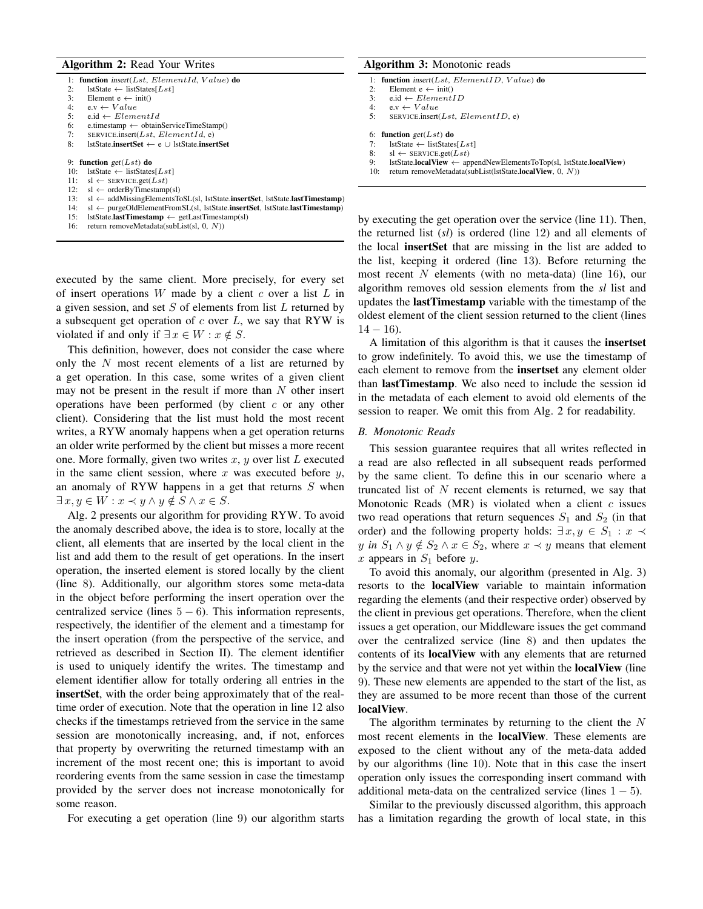## Algorithm 2: Read Your Writes

|     | 1: function insert(Lst, ElementId, Value) do                                                |
|-----|---------------------------------------------------------------------------------------------|
| 2:  | lstState ← listStates[Lst]                                                                  |
| 3:  | Element $e \leftarrow \text{init}()$                                                        |
| 4:  | $e.v \leftarrow Value$                                                                      |
| 5:  | $e_id \leftarrow ElementId$                                                                 |
| 6:  | e.timestamp $\leftarrow$ obtainServiceTimeStamp()                                           |
| 7:  | SERVICE.insert(Lst, ElementId, e)                                                           |
| 8:  | $lstState.insertSet \leftarrow e \cup lstState.insertSet$                                   |
|     |                                                                                             |
| 9:  | function $get(Lst)$ do                                                                      |
| 10: | lstState ← listStates[Lst]                                                                  |
| 11: | $sl \leftarrow$ SERVICE.get( <i>Lst</i> )                                                   |
| 12: | $sl \leftarrow \text{orderByTimestamp(sl)}$                                                 |
| 13: | $sl \leftarrow addMissingElementsToSL(sl, lstState.insertSet, lstState.lastTimestamp)$      |
| 14: | $sl \leftarrow \text{pureOldElementFromSL}(sl, 1stState.insertSet, 1stState.lastTimestemp)$ |
| 15: | $lstState$ .lastTimestamp $\leftarrow$ getLastTimestamp(sl)                                 |
| 16: | return removeMetadata(subList(sl, 0, $N$ ))                                                 |
|     |                                                                                             |

executed by the same client. More precisely, for every set of insert operations W made by a client c over a list  $L$  in a given session, and set  $S$  of elements from list  $L$  returned by a subsequent get operation of  $c$  over  $L$ , we say that RYW is violated if and only if  $\exists x \in W : x \notin S$ .

This definition, however, does not consider the case where only the N most recent elements of a list are returned by a get operation. In this case, some writes of a given client may not be present in the result if more than  $N$  other insert operations have been performed (by client  $c$  or any other client). Considering that the list must hold the most recent writes, a RYW anomaly happens when a get operation returns an older write performed by the client but misses a more recent one. More formally, given two writes  $x, y$  over list  $L$  executed in the same client session, where  $x$  was executed before  $y$ , an anomaly of RYW happens in a get that returns  $S$  when  $\exists x, y \in W : x \prec y \land y \notin S \land x \in S.$ 

Alg. 2 presents our algorithm for providing RYW. To avoid the anomaly described above, the idea is to store, locally at the client, all elements that are inserted by the local client in the list and add them to the result of get operations. In the insert operation, the inserted element is stored locally by the client (line 8). Additionally, our algorithm stores some meta-data in the object before performing the insert operation over the centralized service (lines  $5 - 6$ ). This information represents, respectively, the identifier of the element and a timestamp for the insert operation (from the perspective of the service, and retrieved as described in Section II). The element identifier is used to uniquely identify the writes. The timestamp and element identifier allow for totally ordering all entries in the insertSet, with the order being approximately that of the realtime order of execution. Note that the operation in line 12 also checks if the timestamps retrieved from the service in the same session are monotonically increasing, and, if not, enforces that property by overwriting the returned timestamp with an increment of the most recent one; this is important to avoid reordering events from the same session in case the timestamp provided by the server does not increase monotonically for some reason.

For executing a get operation (line 9) our algorithm starts

# Algorithm 3: Monotonic reads

- 1: function insert(Lst, ElementID, Value) do
- 2: Element e ← init()<br>3: e.id ← Element.
- $\mathbf{e}.\mathbf{i}\mathbf{d} \leftarrow ElementID$
- 4:  $e.v \leftarrow Value$ <br>5: SERVICE insert  $SERVICE.insert(Lst, ElementID, e)$
- 6: function  $get(Lst)$  do
- 7: lstState ← listStates[Lst]
- 8:  $sl \leftarrow$  SERVICE.get(*Lst*)
- 9: lstState.localView ← appendNewElementsToTop(sl, lstState.localView)
- 10: return removeMetadata(subList(lstState.localView, 0, N))

by executing the get operation over the service (line 11). Then, the returned list (*sl*) is ordered (line 12) and all elements of the local insertSet that are missing in the list are added to the list, keeping it ordered (line 13). Before returning the most recent N elements (with no meta-data) (line 16), our algorithm removes old session elements from the *sl* list and updates the lastTimestamp variable with the timestamp of the oldest element of the client session returned to the client (lines  $14 - 16$ ).

A limitation of this algorithm is that it causes the insertset to grow indefinitely. To avoid this, we use the timestamp of each element to remove from the **insertset** any element older than lastTimestamp. We also need to include the session id in the metadata of each element to avoid old elements of the session to reaper. We omit this from Alg. 2 for readability.

#### *B. Monotonic Reads*

This session guarantee requires that all writes reflected in a read are also reflected in all subsequent reads performed by the same client. To define this in our scenario where a truncated list of N recent elements is returned, we say that Monotonic Reads (MR) is violated when a client  $c$  issues two read operations that return sequences  $S_1$  and  $S_2$  (in that order) and the following property holds:  $\exists x, y \in S_1 : x \prec$ *y in*  $S_1 \wedge y \notin S_2 \wedge x \in S_2$ , where  $x \prec y$  means that element x appears in  $S_1$  before y.

To avoid this anomaly, our algorithm (presented in Alg. 3) resorts to the localView variable to maintain information regarding the elements (and their respective order) observed by the client in previous get operations. Therefore, when the client issues a get operation, our Middleware issues the get command over the centralized service (line 8) and then updates the contents of its **localView** with any elements that are returned by the service and that were not yet within the localView (line 9). These new elements are appended to the start of the list, as they are assumed to be more recent than those of the current localView.

The algorithm terminates by returning to the client the  $N$ most recent elements in the localView. These elements are exposed to the client without any of the meta-data added by our algorithms (line 10). Note that in this case the insert operation only issues the corresponding insert command with additional meta-data on the centralized service (lines  $1 - 5$ ).

Similar to the previously discussed algorithm, this approach has a limitation regarding the growth of local state, in this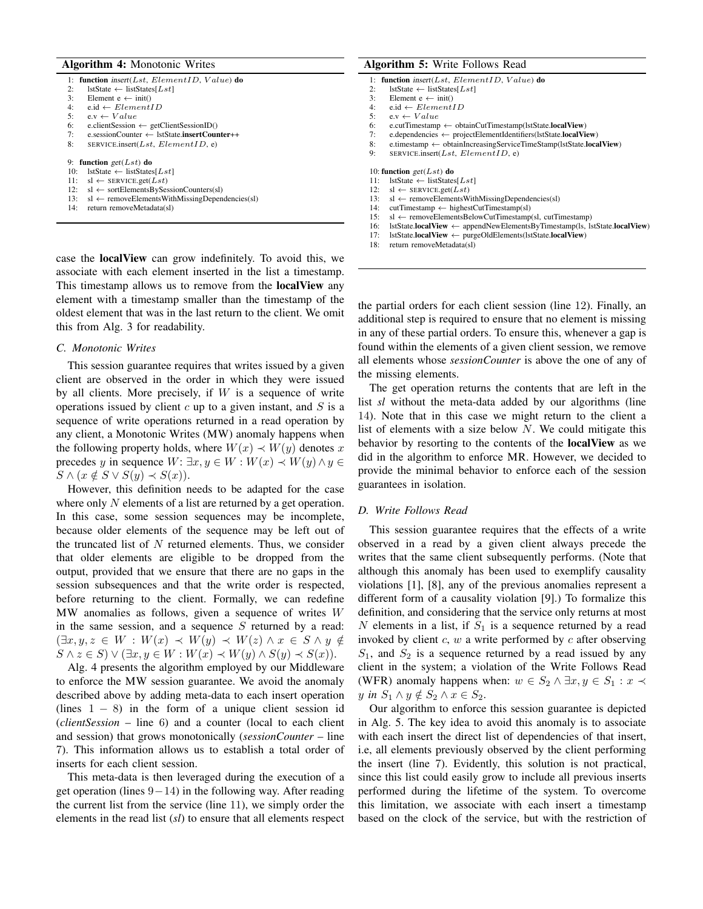# Algorithm 4: Monotonic Writes

| 1: function insert(Lst, ElementID, Value) do                                                                                                                                                                                                                                             |  |
|------------------------------------------------------------------------------------------------------------------------------------------------------------------------------------------------------------------------------------------------------------------------------------------|--|
| lstState ← listStates[Lst]                                                                                                                                                                                                                                                               |  |
| Element $e \leftarrow \text{init}()$                                                                                                                                                                                                                                                     |  |
| $e$ id $\leftarrow$ Element ID                                                                                                                                                                                                                                                           |  |
| $e.y \leftarrow Value$                                                                                                                                                                                                                                                                   |  |
| e.clientSession $\leftarrow$ getClientSessionID()                                                                                                                                                                                                                                        |  |
| e.sessionCounter $\leftarrow$ 1stState.insertCounter++                                                                                                                                                                                                                                   |  |
| SERVICE.insert(Lst, ElementID, e)                                                                                                                                                                                                                                                        |  |
| 9: function get( $Lst$ ) do<br>10:<br>lstState ← listStates[Lst]<br>$sl \leftarrow$ SERVICE.get( <i>Lst</i> )<br>11:<br>$sl \leftarrow sortElementsBySessionCounters(sl)$<br>12:<br>13:<br>$sl \leftarrow$ removeElementsWithMissingDependencies(sl)<br>14:<br>return removeMetadata(sl) |  |
|                                                                                                                                                                                                                                                                                          |  |

case the localView can grow indefinitely. To avoid this, we associate with each element inserted in the list a timestamp. This timestamp allows us to remove from the **localView** any element with a timestamp smaller than the timestamp of the oldest element that was in the last return to the client. We omit this from Alg. 3 for readability.

# *C. Monotonic Writes*

This session guarantee requires that writes issued by a given client are observed in the order in which they were issued by all clients. More precisely, if  $W$  is a sequence of write operations issued by client  $c$  up to a given instant, and  $S$  is a sequence of write operations returned in a read operation by any client, a Monotonic Writes (MW) anomaly happens when the following property holds, where  $W(x) \prec W(y)$  denotes x precedes y in sequence  $W: \exists x, y \in W : W(x) \prec W(y) \land y \in$  $S \wedge (x \notin S \vee S(y) \prec S(x)).$ 

However, this definition needs to be adapted for the case where only N elements of a list are returned by a get operation. In this case, some session sequences may be incomplete, because older elements of the sequence may be left out of the truncated list of  $N$  returned elements. Thus, we consider that older elements are eligible to be dropped from the output, provided that we ensure that there are no gaps in the session subsequences and that the write order is respected, before returning to the client. Formally, we can redefine MW anomalies as follows, given a sequence of writes W in the same session, and a sequence  $S$  returned by a read:  $(\exists x, y, z \in W : W(x) \prec W(y) \prec W(z) \land x \in S \land y \notin \Box$  $S \wedge z \in S$ )  $\vee (\exists x, y \in W : W(x) \prec W(y) \wedge S(y) \prec S(x)).$ 

Alg. 4 presents the algorithm employed by our Middleware to enforce the MW session guarantee. We avoid the anomaly described above by adding meta-data to each insert operation (lines  $1 - 8$ ) in the form of a unique client session id (*clientSession* – line 6) and a counter (local to each client and session) that grows monotonically (*sessionCounter* – line 7). This information allows us to establish a total order of inserts for each client session.

This meta-data is then leveraged during the execution of a get operation (lines 9−14) in the following way. After reading the current list from the service (line 11), we simply order the elements in the read list (*sl*) to ensure that all elements respect

## Algorithm 5: Write Follows Read

- 1: function insert(Lst, ElementID, Value) do
- 2: lstState ← listStates[Lst]<br>3: Element e ← init()
- Element  $e \leftarrow \text{init}()$
- 4: e.id ← ElementID<br>5: e.v ← Value  $e.v \leftarrow Value$
- $6: \qquad \text{e.curTimestamp} \longleftarrow \text{obtainCutTimestamp}(lstState.\textbf{localView})$
- 7: e.dependencies ← projectElementIdentifiers(lstState.localView)
- 8: e.timestamp ← obtainIncreasingServiceTimeStamp(lstState.localView)
- 9: SERVICE.insert $(Lst, ElementID, e)$

10: function  $get(Lst)$  do

- 11: lstState ← listStates[Lst]
- 12:  $sl \leftarrow$  SERVICE.get(Lst)
- 13: sl ← removeElementsWithMissingDependencies(sl)
- 14: cutTimestamp ← highestCutTimestamp(sl)<br>15: sl ← removeElementsBelowCutTimestamp
- 15: sl ← removeElementsBelowCutTimestamp(sl, cutTimestamp)
- 16: lstState.localView ← appendNewElementsByTimestamp(ls, lstState.localView)
- 17: lstState.localView ← purgeOldElements(lstState.localView)
- 18: return removeMetadata(sl)

the partial orders for each client session (line 12). Finally, an additional step is required to ensure that no element is missing in any of these partial orders. To ensure this, whenever a gap is found within the elements of a given client session, we remove all elements whose *sessionCounter* is above the one of any of the missing elements.

The get operation returns the contents that are left in the list *sl* without the meta-data added by our algorithms (line 14). Note that in this case we might return to the client a list of elements with a size below  $N$ . We could mitigate this behavior by resorting to the contents of the localView as we did in the algorithm to enforce MR. However, we decided to provide the minimal behavior to enforce each of the session guarantees in isolation.

## *D. Write Follows Read*

This session guarantee requires that the effects of a write observed in a read by a given client always precede the writes that the same client subsequently performs. (Note that although this anomaly has been used to exemplify causality violations [1], [8], any of the previous anomalies represent a different form of a causality violation [9].) To formalize this definition, and considering that the service only returns at most N elements in a list, if  $S_1$  is a sequence returned by a read invoked by client  $c, w$  a write performed by  $c$  after observing  $S_1$ , and  $S_2$  is a sequence returned by a read issued by any client in the system; a violation of the Write Follows Read (WFR) anomaly happens when:  $w \in S_2 \land \exists x, y \in S_1 : x \prec$ *y in*  $S_1 \wedge y \notin S_2 \wedge x \in S_2$ .

Our algorithm to enforce this session guarantee is depicted in Alg. 5. The key idea to avoid this anomaly is to associate with each insert the direct list of dependencies of that insert, i.e, all elements previously observed by the client performing the insert (line 7). Evidently, this solution is not practical, since this list could easily grow to include all previous inserts performed during the lifetime of the system. To overcome this limitation, we associate with each insert a timestamp based on the clock of the service, but with the restriction of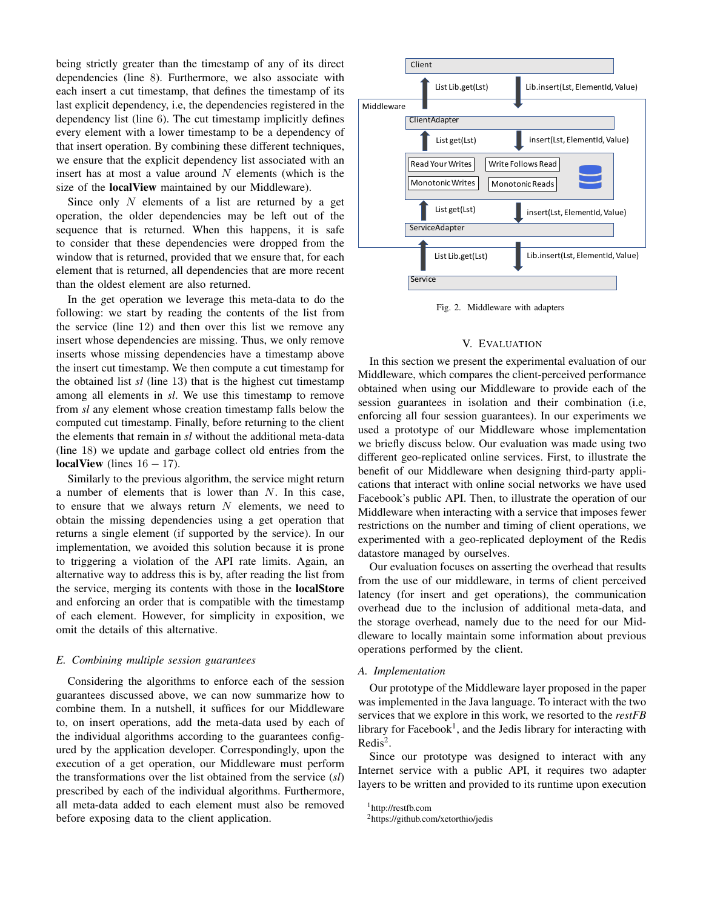being strictly greater than the timestamp of any of its direct dependencies (line 8). Furthermore, we also associate with each insert a cut timestamp, that defines the timestamp of its last explicit dependency, i.e, the dependencies registered in the dependency list (line 6). The cut timestamp implicitly defines every element with a lower timestamp to be a dependency of that insert operation. By combining these different techniques, we ensure that the explicit dependency list associated with an insert has at most a value around  $N$  elements (which is the size of the localView maintained by our Middleware).

Since only  $N$  elements of a list are returned by a get operation, the older dependencies may be left out of the sequence that is returned. When this happens, it is safe to consider that these dependencies were dropped from the window that is returned, provided that we ensure that, for each element that is returned, all dependencies that are more recent than the oldest element are also returned.

In the get operation we leverage this meta-data to do the following: we start by reading the contents of the list from the service (line 12) and then over this list we remove any insert whose dependencies are missing. Thus, we only remove inserts whose missing dependencies have a timestamp above the insert cut timestamp. We then compute a cut timestamp for the obtained list *sl* (line 13) that is the highest cut timestamp among all elements in *sl*. We use this timestamp to remove from *sl* any element whose creation timestamp falls below the computed cut timestamp. Finally, before returning to the client the elements that remain in *sl* without the additional meta-data (line 18) we update and garbage collect old entries from the localView (lines  $16 - 17$ ).

Similarly to the previous algorithm, the service might return a number of elements that is lower than  $N$ . In this case, to ensure that we always return  $N$  elements, we need to obtain the missing dependencies using a get operation that returns a single element (if supported by the service). In our implementation, we avoided this solution because it is prone to triggering a violation of the API rate limits. Again, an alternative way to address this is by, after reading the list from the service, merging its contents with those in the localStore and enforcing an order that is compatible with the timestamp of each element. However, for simplicity in exposition, we omit the details of this alternative.

#### *E. Combining multiple session guarantees*

Considering the algorithms to enforce each of the session guarantees discussed above, we can now summarize how to combine them. In a nutshell, it suffices for our Middleware to, on insert operations, add the meta-data used by each of the individual algorithms according to the guarantees configured by the application developer. Correspondingly, upon the execution of a get operation, our Middleware must perform the transformations over the list obtained from the service (*sl*) prescribed by each of the individual algorithms. Furthermore, all meta-data added to each element must also be removed before exposing data to the client application.



Fig. 2. Middleware with adapters

#### V. EVALUATION

In this section we present the experimental evaluation of our Middleware, which compares the client-perceived performance obtained when using our Middleware to provide each of the session guarantees in isolation and their combination (i.e, enforcing all four session guarantees). In our experiments we used a prototype of our Middleware whose implementation we briefly discuss below. Our evaluation was made using two different geo-replicated online services. First, to illustrate the benefit of our Middleware when designing third-party applications that interact with online social networks we have used Facebook's public API. Then, to illustrate the operation of our Middleware when interacting with a service that imposes fewer restrictions on the number and timing of client operations, we experimented with a geo-replicated deployment of the Redis datastore managed by ourselves.

Our evaluation focuses on asserting the overhead that results from the use of our middleware, in terms of client perceived latency (for insert and get operations), the communication overhead due to the inclusion of additional meta-data, and the storage overhead, namely due to the need for our Middleware to locally maintain some information about previous operations performed by the client.

#### *A. Implementation*

Our prototype of the Middleware layer proposed in the paper was implemented in the Java language. To interact with the two services that we explore in this work, we resorted to the *restFB* library for Facebook<sup>1</sup>, and the Jedis library for interacting with  $\text{Redis}^2$ .

Since our prototype was designed to interact with any Internet service with a public API, it requires two adapter layers to be written and provided to its runtime upon execution

<sup>1</sup>http://restfb.com

<sup>2</sup>https://github.com/xetorthio/jedis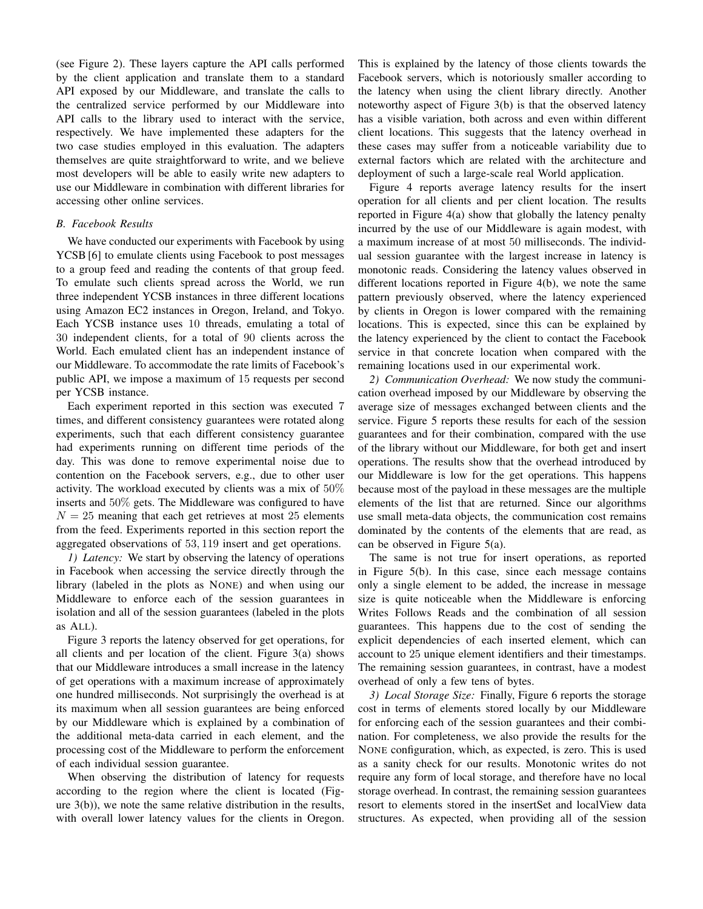(see Figure 2). These layers capture the API calls performed by the client application and translate them to a standard API exposed by our Middleware, and translate the calls to the centralized service performed by our Middleware into API calls to the library used to interact with the service, respectively. We have implemented these adapters for the two case studies employed in this evaluation. The adapters themselves are quite straightforward to write, and we believe most developers will be able to easily write new adapters to use our Middleware in combination with different libraries for accessing other online services.

## *B. Facebook Results*

We have conducted our experiments with Facebook by using YCSB [6] to emulate clients using Facebook to post messages to a group feed and reading the contents of that group feed. To emulate such clients spread across the World, we run three independent YCSB instances in three different locations using Amazon EC2 instances in Oregon, Ireland, and Tokyo. Each YCSB instance uses 10 threads, emulating a total of 30 independent clients, for a total of 90 clients across the World. Each emulated client has an independent instance of our Middleware. To accommodate the rate limits of Facebook's public API, we impose a maximum of 15 requests per second per YCSB instance.

Each experiment reported in this section was executed 7 times, and different consistency guarantees were rotated along experiments, such that each different consistency guarantee had experiments running on different time periods of the day. This was done to remove experimental noise due to contention on the Facebook servers, e.g., due to other user activity. The workload executed by clients was a mix of 50% inserts and 50% gets. The Middleware was configured to have  $N = 25$  meaning that each get retrieves at most 25 elements from the feed. Experiments reported in this section report the aggregated observations of 53, 119 insert and get operations.

*1) Latency:* We start by observing the latency of operations in Facebook when accessing the service directly through the library (labeled in the plots as NONE) and when using our Middleware to enforce each of the session guarantees in isolation and all of the session guarantees (labeled in the plots as ALL).

Figure 3 reports the latency observed for get operations, for all clients and per location of the client. Figure 3(a) shows that our Middleware introduces a small increase in the latency of get operations with a maximum increase of approximately one hundred milliseconds. Not surprisingly the overhead is at its maximum when all session guarantees are being enforced by our Middleware which is explained by a combination of the additional meta-data carried in each element, and the processing cost of the Middleware to perform the enforcement of each individual session guarantee.

When observing the distribution of latency for requests according to the region where the client is located (Figure 3(b)), we note the same relative distribution in the results, with overall lower latency values for the clients in Oregon. This is explained by the latency of those clients towards the Facebook servers, which is notoriously smaller according to the latency when using the client library directly. Another noteworthy aspect of Figure 3(b) is that the observed latency has a visible variation, both across and even within different client locations. This suggests that the latency overhead in these cases may suffer from a noticeable variability due to external factors which are related with the architecture and deployment of such a large-scale real World application.

Figure 4 reports average latency results for the insert operation for all clients and per client location. The results reported in Figure 4(a) show that globally the latency penalty incurred by the use of our Middleware is again modest, with a maximum increase of at most 50 milliseconds. The individual session guarantee with the largest increase in latency is monotonic reads. Considering the latency values observed in different locations reported in Figure 4(b), we note the same pattern previously observed, where the latency experienced by clients in Oregon is lower compared with the remaining locations. This is expected, since this can be explained by the latency experienced by the client to contact the Facebook service in that concrete location when compared with the remaining locations used in our experimental work.

*2) Communication Overhead:* We now study the communication overhead imposed by our Middleware by observing the average size of messages exchanged between clients and the service. Figure 5 reports these results for each of the session guarantees and for their combination, compared with the use of the library without our Middleware, for both get and insert operations. The results show that the overhead introduced by our Middleware is low for the get operations. This happens because most of the payload in these messages are the multiple elements of the list that are returned. Since our algorithms use small meta-data objects, the communication cost remains dominated by the contents of the elements that are read, as can be observed in Figure 5(a).

The same is not true for insert operations, as reported in Figure 5(b). In this case, since each message contains only a single element to be added, the increase in message size is quite noticeable when the Middleware is enforcing Writes Follows Reads and the combination of all session guarantees. This happens due to the cost of sending the explicit dependencies of each inserted element, which can account to 25 unique element identifiers and their timestamps. The remaining session guarantees, in contrast, have a modest overhead of only a few tens of bytes.

*3) Local Storage Size:* Finally, Figure 6 reports the storage cost in terms of elements stored locally by our Middleware for enforcing each of the session guarantees and their combination. For completeness, we also provide the results for the NONE configuration, which, as expected, is zero. This is used as a sanity check for our results. Monotonic writes do not require any form of local storage, and therefore have no local storage overhead. In contrast, the remaining session guarantees resort to elements stored in the insertSet and localView data structures. As expected, when providing all of the session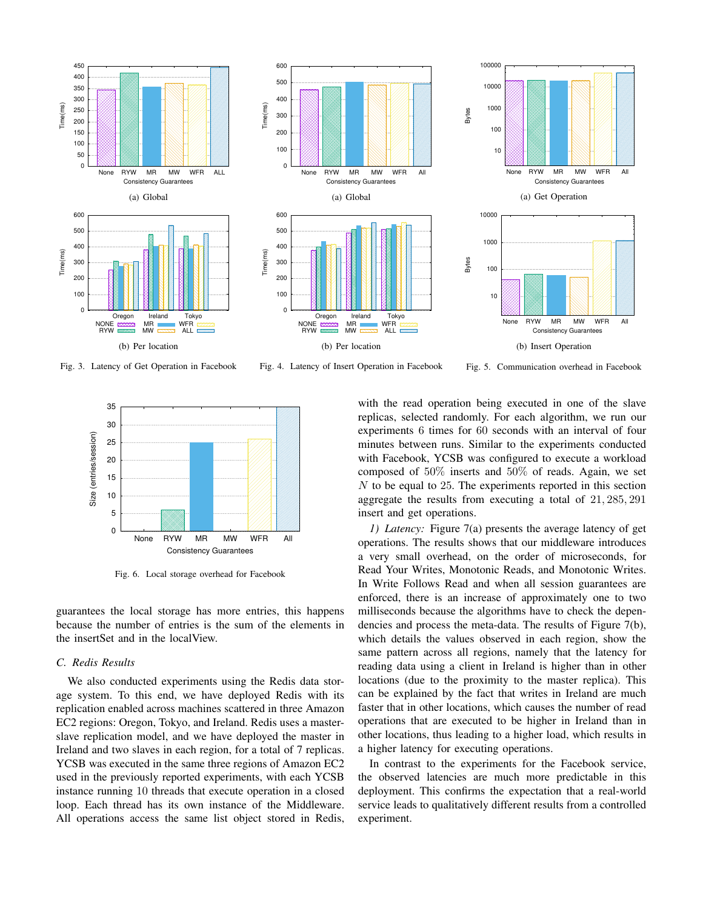

Fig. 3. Latency of Get Operation in Facebook

Fig. 4. Latency of Insert Operation in Facebook

Fig. 5. Communication overhead in Facebook



Fig. 6. Local storage overhead for Facebook

guarantees the local storage has more entries, this happens because the number of entries is the sum of the elements in the insertSet and in the localView.

# *C. Redis Results*

We also conducted experiments using the Redis data storage system. To this end, we have deployed Redis with its replication enabled across machines scattered in three Amazon EC2 regions: Oregon, Tokyo, and Ireland. Redis uses a masterslave replication model, and we have deployed the master in Ireland and two slaves in each region, for a total of 7 replicas. YCSB was executed in the same three regions of Amazon EC2 used in the previously reported experiments, with each YCSB instance running 10 threads that execute operation in a closed loop. Each thread has its own instance of the Middleware. All operations access the same list object stored in Redis,

with the read operation being executed in one of the slave replicas, selected randomly. For each algorithm, we run our experiments 6 times for 60 seconds with an interval of four minutes between runs. Similar to the experiments conducted with Facebook, YCSB was configured to execute a workload composed of 50% inserts and 50% of reads. Again, we set  $N$  to be equal to 25. The experiments reported in this section aggregate the results from executing a total of 21, 285, 291 insert and get operations.

*1) Latency:* Figure 7(a) presents the average latency of get operations. The results shows that our middleware introduces a very small overhead, on the order of microseconds, for Read Your Writes, Monotonic Reads, and Monotonic Writes. In Write Follows Read and when all session guarantees are enforced, there is an increase of approximately one to two milliseconds because the algorithms have to check the dependencies and process the meta-data. The results of Figure 7(b), which details the values observed in each region, show the same pattern across all regions, namely that the latency for reading data using a client in Ireland is higher than in other locations (due to the proximity to the master replica). This can be explained by the fact that writes in Ireland are much faster that in other locations, which causes the number of read operations that are executed to be higher in Ireland than in other locations, thus leading to a higher load, which results in a higher latency for executing operations.

In contrast to the experiments for the Facebook service, the observed latencies are much more predictable in this deployment. This confirms the expectation that a real-world service leads to qualitatively different results from a controlled experiment.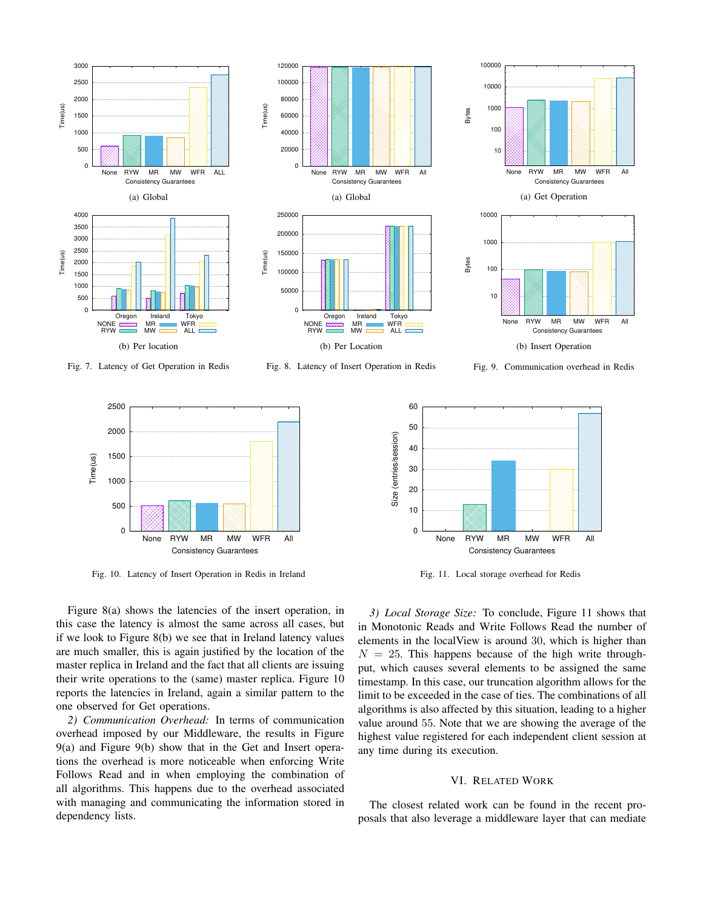



Fig. 10. Latency of Insert Operation in Redis in Ireland



Fig. 11. Local storage overhead for Redis

Figure 8(a) shows the latencies of the insert operation, in this case the latency is almost the same across all cases, but if we look to Figure 8(b) we see that in Ireland latency values are much smaller, this is again justified by the location of the master replica in Ireland and the fact that all clients are issuing their write operations to the (same) master replica. Figure 10 reports the latencies in Ireland, again a similar pattern to the one observed for Get operations.

*2) Communication Overhead:* In terms of communication overhead imposed by our Middleware, the results in Figure 9(a) and Figure 9(b) show that in the Get and Insert operations the overhead is more noticeable when enforcing Write Follows Read and in when employing the combination of all algorithms. This happens due to the overhead associated with managing and communicating the information stored in dependency lists.

*3) Local Storage Size:* To conclude, Figure 11 shows that in Monotonic Reads and Write Follows Read the number of elements in the localView is around 30, which is higher than  $N = 25$ . This happens because of the high write throughput, which causes several elements to be assigned the same timestamp. In this case, our truncation algorithm allows for the limit to be exceeded in the case of ties. The combinations of all algorithms is also affected by this situation, leading to a higher value around 55. Note that we are showing the average of the highest value registered for each independent client session at any time during its execution.

## VI. RELATED WORK

The closest related work can be found in the recent proposals that also leverage a middleware layer that can mediate